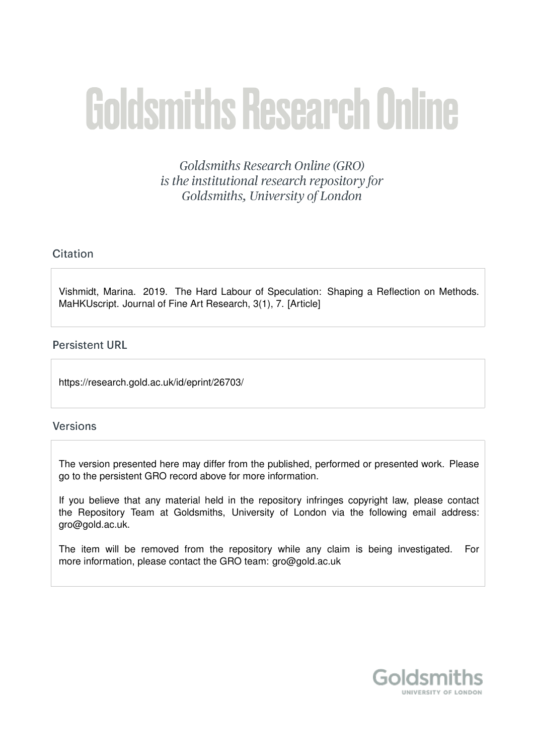# **Goldsmiths Research Online**

Goldsmiths Research Online (GRO) is the institutional research repository for Goldsmiths, University of London

# Citation

Vishmidt, Marina. 2019. The Hard Labour of Speculation: Shaping a Reflection on Methods. MaHKUscript. Journal of Fine Art Research, 3(1), 7. [Article]

## **Persistent URL**

https://research.gold.ac.uk/id/eprint/26703/

## **Versions**

The version presented here may differ from the published, performed or presented work. Please go to the persistent GRO record above for more information.

If you believe that any material held in the repository infringes copyright law, please contact the Repository Team at Goldsmiths, University of London via the following email address: gro@gold.ac.uk.

The item will be removed from the repository while any claim is being investigated. For more information, please contact the GRO team: gro@gold.ac.uk

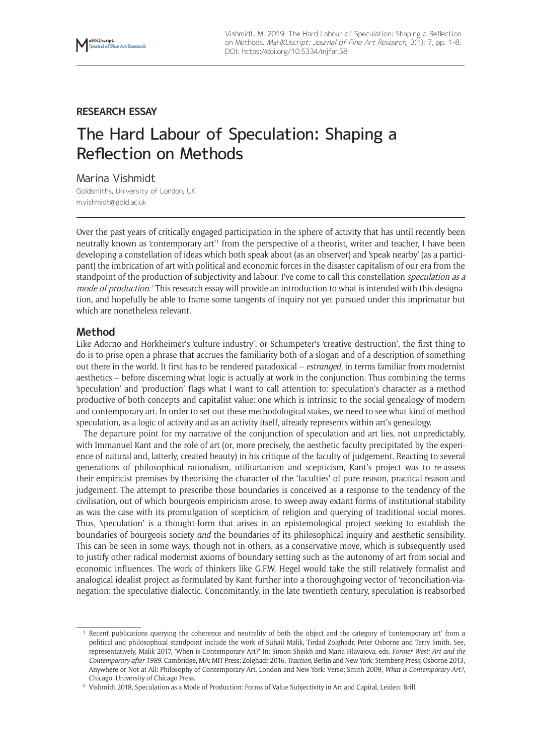# **RESEARCH ESSAY**

# The Hard Labour of Speculation: Shaping a Reflection on Methods

#### Marina Vishmidt

Goldsmiths, University of London, UK [m.vishmidt@gold.ac.uk](mailto:m.vishmidt@gold.ac.uk)

Over the past years of critically engaged participation in the sphere of activity that has until recently been neutrally known as 'contemporary art'<sup>1</sup> from the perspective of a theorist, writer and teacher, I have been developing a constellation of ideas which both speak about (as an observer) and 'speak nearby' (as a participant) the imbrication of art with political and economic forces in the disaster capitalism of our era from the standpoint of the production of subjectivity and labour. I've come to call this constellation *speculation as a* mode of production.<sup>2</sup> This research essay will provide an introduction to what is intended with this designation, and hopefully be able to frame some tangents of inquiry not yet pursued under this imprimatur but which are nonetheless relevant.

#### **Method**

Like Adorno and Horkheimer's 'culture industry', or Schumpeter's 'creative destruction', the first thing to do is to prise open a phrase that accrues the familiarity both of a slogan and of a description of something out there in the world. It first has to be rendered paradoxical – *estranged*, in terms familiar from modernist aesthetics – before discerning what logic is actually at work in the conjunction. Thus combining the terms 'speculation' and 'production' flags what I want to call attention to: speculation's character as a method productive of both concepts and capitalist value: one which is intrinsic to the social genealogy of modern and contemporary art. In order to set out these methodological stakes, we need to see what kind of method speculation, as a logic of activity and as an activity itself, already represents within art's genealogy.

The departure point for my narrative of the conjunction of speculation and art lies, not unpredictably, with Immanuel Kant and the role of art (or, more precisely, the aesthetic faculty precipitated by the experience of natural and, latterly, created beauty) in his critique of the faculty of judgement. Reacting to several generations of philosophical rationalism, utilitarianism and scepticism, Kant's project was to re-assess their empiricist premises by theorising the character of the 'faculties' of pure reason, practical reason and judgement. The attempt to prescribe those boundaries is conceived as a response to the tendency of the civilisation, out of which bourgeois empiricism arose, to sweep away extant forms of institutional stability as was the case with its promulgation of scepticism of religion and querying of traditional social mores. Thus, 'speculation' is a thought-form that arises in an epistemological project seeking to establish the boundaries of bourgeois society *and* the boundaries of its philosophical inquiry and aesthetic sensibility. This can be seen in some ways, though not in others, as a conservative move, which is subsequently used to justify other radical modernist axioms of boundary setting such as the autonomy of art from social and economic influences. The work of thinkers like G.F.W. Hegel would take the still relatively formalist and analogical idealist project as formulated by Kant further into a thoroughgoing vector of 'reconciliation-vianegation: the speculative dialectic. Concomitantly, in the late twentieth century, speculation is reabsorbed

<sup>1</sup> Recent publications querying the coherence and neutrality of both the object and the category of 'contemporary art' from a political and philosophical standpoint include the work of Suhail Malik, Tirdad Zolghadr, Peter Osborne and Terry Smith. See, representatively, Malik 2017, 'When is Contemporary Art?' In: Simon Sheikh and Maria Hlavajova, eds. *Former West: Art and the Contemporary after 1989.* Cambridge, MA: MIT Press; Zolghadr 2016, *Traction*, Berlin and New York: Sternberg Press; Osborne 2013, Anywhere or Not at All: Philosophy of Contemporary Art, London and New York: Verso; Smith 2009, *What is Contemporary Art?*, Chicago: University of Chicago Press.

<sup>&</sup>lt;sup>2</sup> Vishmidt 2018, Speculation as a Mode of Production: Forms of Value Subjectivity in Art and Capital, Leiden: Brill.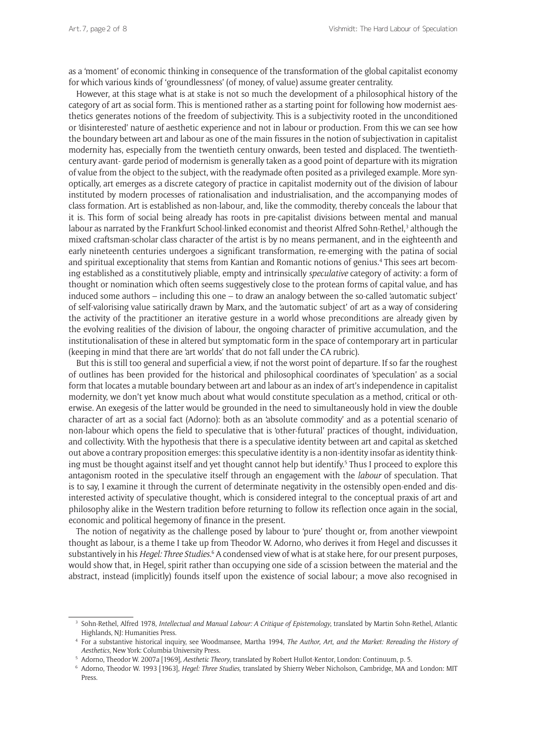as a 'moment' of economic thinking in consequence of the transformation of the global capitalist economy for which various kinds of 'groundlessness' (of money, of value) assume greater centrality.

However, at this stage what is at stake is not so much the development of a philosophical history of the category of art as social form. This is mentioned rather as a starting point for following how modernist aesthetics generates notions of the freedom of subjectivity. This is a subjectivity rooted in the unconditioned or 'disinterested' nature of aesthetic experience and not in labour or production. From this we can see how the boundary between art and labour as one of the main fissures in the notion of subjectivation in capitalist modernity has, especially from the twentieth century onwards, been tested and displaced. The twentiethcentury avant- garde period of modernism is generally taken as a good point of departure with its migration of value from the object to the subject, with the readymade often posited as a privileged example. More synoptically, art emerges as a discrete category of practice in capitalist modernity out of the division of labour instituted by modern processes of rationalisation and industrialisation, and the accompanying modes of class formation. Art is established as non-labour, and, like the commodity, thereby conceals the labour that it is. This form of social being already has roots in pre-capitalist divisions between mental and manual labour as narrated by the Frankfurt School-linked economist and theorist Alfred Sohn-Rethel,<sup>3</sup> although the mixed craftsman-scholar class character of the artist is by no means permanent, and in the eighteenth and early nineteenth centuries undergoes a significant transformation, re-emerging with the patina of social and spiritual exceptionality that stems from Kantian and Romantic notions of genius.4 This sees art becoming established as a constitutively pliable, empty and intrinsically *speculative* category of activity: a form of thought or nomination which often seems suggestively close to the protean forms of capital value, and has induced some authors – including this one – to draw an analogy between the so-called 'automatic subject' of self-valorising value satirically drawn by Marx, and the 'automatic subject' of art as a way of considering the activity of the practitioner an iterative gesture in a world whose preconditions are already given by the evolving realities of the division of labour, the ongoing character of primitive accumulation, and the institutionalisation of these in altered but symptomatic form in the space of contemporary art in particular (keeping in mind that there are 'art worlds' that do not fall under the CA rubric).

But this is still too general and superficial a view, if not the worst point of departure. If so far the roughest of outlines has been provided for the historical and philosophical coordinates of 'speculation' as a social form that locates a mutable boundary between art and labour as an index of art's independence in capitalist modernity, we don't yet know much about what would constitute speculation as a method, critical or otherwise. An exegesis of the latter would be grounded in the need to simultaneously hold in view the double character of art as a social fact (Adorno): both as an 'absolute commodity' and as a potential scenario of non-labour which opens the field to speculative that is 'other-futural' practices of thought, individuation, and collectivity. With the hypothesis that there is a speculative identity between art and capital as sketched out above a contrary proposition emerges: this speculative identity is a non-identity insofar as identity thinking must be thought against itself and yet thought cannot help but identify.<sup>5</sup> Thus I proceed to explore this antagonism rooted in the speculative itself through an engagement with the *labour* of speculation. That is to say, I examine it through the current of determinate negativity in the ostensibly open-ended and disinterested activity of speculative thought, which is considered integral to the conceptual praxis of art and philosophy alike in the Western tradition before returning to follow its reflection once again in the social, economic and political hegemony of finance in the present.

The notion of negativity as the challenge posed by labour to 'pure' thought or, from another viewpoint thought as labour, is a theme I take up from Theodor W. Adorno, who derives it from Hegel and discusses it substantively in his *Hegel: Three Studies*.<sup>6</sup> A condensed view of what is at stake here, for our present purposes, would show that, in Hegel, spirit rather than occupying one side of a scission between the material and the abstract, instead (implicitly) founds itself upon the existence of social labour; a move also recognised in

<sup>3</sup> Sohn-Rethel, Alfred 1978, *Intellectual and Manual Labour: A Critique of Epistemology*, translated by Martin Sohn-Rethel, Atlantic Highlands, NJ: Humanities Press.

<sup>4</sup> For a substantive historical inquiry, see Woodmansee, Martha 1994, *The Author, Art, and the Market: Rereading the History of Aesthetics*, New York: Columbia University Press.

<sup>5</sup> Adorno, Theodor W. 2007a [1969], *Aesthetic Theory*, translated by Robert Hullot-Kentor, London: Continuum, p. 5.

<sup>6</sup> Adorno, Theodor W. 1993 [1963], *Hegel: Three Studies*, translated by Shierry Weber Nicholson, Cambridge, MA and London: MIT Press.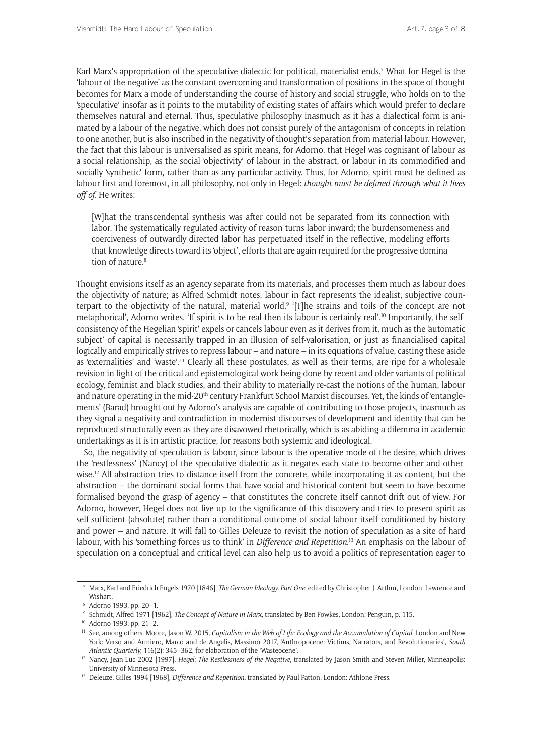Karl Marx's appropriation of the speculative dialectic for political, materialist ends.7 What for Hegel is the 'labour of the negative' as the constant overcoming and transformation of positions in the space of thought becomes for Marx a mode of understanding the course of history and social struggle, who holds on to the 'speculative' insofar as it points to the mutability of existing states of affairs which would prefer to declare themselves natural and eternal. Thus, speculative philosophy inasmuch as it has a dialectical form is animated by a labour of the negative, which does not consist purely of the antagonism of concepts in relation to one another, but is also inscribed in the negativity of thought's separation from material labour. However, the fact that this labour is universalised as spirit means, for Adorno, that Hegel was cognisant of labour as a social relationship, as the social 'objectivity' of labour in the abstract, or labour in its commodified and socially 'synthetic' form, rather than as any particular activity. Thus, for Adorno, spirit must be defined as labour first and foremost, in all philosophy, not only in Hegel: *thought must be defined through what it lives off of*. He writes:

[W]hat the transcendental synthesis was after could not be separated from its connection with labor. The systematically regulated activity of reason turns labor inward; the burdensomeness and coerciveness of outwardly directed labor has perpetuated itself in the reflective, modeling efforts that knowledge directs toward its 'object', efforts that are again required for the progressive domination of nature.8

Thought envisions itself as an agency separate from its materials, and processes them much as labour does the objectivity of nature; as Alfred Schmidt notes, labour in fact represents the idealist, subjective counterpart to the objectivity of the natural, material world.<sup>9</sup> '[T]he strains and toils of the concept are not metaphorical', Adorno writes. 'If spirit is to be real then its labour is certainly real'.10 Importantly, the selfconsistency of the Hegelian 'spirit' expels or cancels labour even as it derives from it, much as the 'automatic subject' of capital is necessarily trapped in an illusion of self-valorisation, or just as financialised capital logically and empirically strives to repress labour – and nature – in its equations of value, casting these aside as 'externalities' and 'waste'.11 Clearly all these postulates, as well as their terms, are ripe for a wholesale revision in light of the critical and epistemological work being done by recent and older variants of political ecology, feminist and black studies, and their ability to materially re-cast the notions of the human, labour and nature operating in the mid-20<sup>th</sup> century Frankfurt School Marxist discourses. Yet, the kinds of 'entanglements' (Barad) brought out by Adorno's analysis are capable of contributing to those projects, inasmuch as they signal a negativity and contradiction in modernist discourses of development and identity that can be reproduced structurally even as they are disavowed rhetorically, which is as abiding a dilemma in academic undertakings as it is in artistic practice, for reasons both systemic and ideological.

So, the negativity of speculation is labour, since labour is the operative mode of the desire, which drives the 'restlessness' (Nancy) of the speculative dialectic as it negates each state to become other and otherwise.<sup>12</sup> All abstraction tries to distance itself from the concrete, while incorporating it as content, but the abstraction – the dominant social forms that have social and historical content but seem to have become formalised beyond the grasp of agency – that constitutes the concrete itself cannot drift out of view. For Adorno, however, Hegel does not live up to the significance of this discovery and tries to present spirit as self-sufficient (absolute) rather than a conditional outcome of social labour itself conditioned by history and power – and nature. It will fall to Gilles Deleuze to revisit the notion of speculation as a site of hard labour, with his 'something forces us to think' in *Difference and Repetition*. 13 An emphasis on the labour of speculation on a conceptual and critical level can also help us to avoid a politics of representation eager to

<sup>7</sup> Marx, Karl and Friedrich Engels 1970 [1846], *The German Ideology, Part One*, edited by Christopher J. Arthur, London: Lawrence and Wishart.

<sup>8</sup> Adorno 1993, pp. 20–1.

<sup>9</sup> Schmidt, Alfred 1971 [1962], *The Concept of Nature in Marx*, translated by Ben Fowkes, London: Penguin, p. 115.

<sup>10</sup> Adorno 1993, pp. 21–2.

<sup>11</sup> See, among others, Moore, Jason W. 2015, *Capitalism in the Web of Life: Ecology and the Accumulation of Capital*, London and New York: Verso and Armiero, Marco and de Angelis, Massimo 2017, 'Anthropocene: Victims, Narrators, and Revolutionaries', *South Atlantic Quarterly*, 116(2): 345–362, for elaboration of the 'Wasteocene'.

<sup>&</sup>lt;sup>12</sup> Nancy, Jean-Luc 2002 [1997], *Hegel: The Restlessness of the Negative*, translated by Jason Smith and Steven Miller, Minneapolis: University of Minnesota Press.

<sup>13</sup> Deleuze, Gilles 1994 [1968], *Difference and Repetition*, translated by Paul Patton, London: Athlone Press.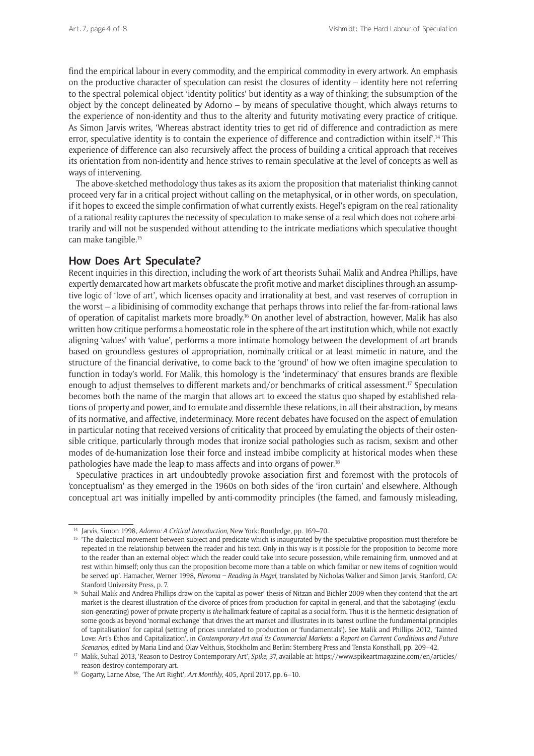find the empirical labour in every commodity, and the empirical commodity in every artwork. An emphasis on the productive character of speculation can resist the closures of identity – identity here not referring to the spectral polemical object 'identity politics' but identity as a way of thinking; the subsumption of the object by the concept delineated by Adorno – by means of speculative thought, which always returns to the experience of non-identity and thus to the alterity and futurity motivating every practice of critique. As Simon Jarvis writes, 'Whereas abstract identity tries to get rid of difference and contradiction as mere error, speculative identity is to contain the experience of difference and contradiction within itself'.14 This experience of difference can also recursively affect the process of building a critical approach that receives its orientation from non-identity and hence strives to remain speculative at the level of concepts as well as ways of intervening.

The above-sketched methodology thus takes as its axiom the proposition that materialist thinking cannot proceed very far in a critical project without calling on the metaphysical, or in other words, on speculation, if it hopes to exceed the simple confirmation of what currently exists. Hegel's epigram on the real rationality of a rational reality captures the necessity of speculation to make sense of a real which does not cohere arbitrarily and will not be suspended without attending to the intricate mediations which speculative thought can make tangible.15

#### **How Does Art Speculate?**

Recent inquiries in this direction, including the work of art theorists Suhail Malik and Andrea Phillips, have expertly demarcated how art markets obfuscate the profit motive and market disciplines through an assumptive logic of 'love of art', which licenses opacity and irrationality at best, and vast reserves of corruption in the worst – a libidinising of commodity exchange that perhaps throws into relief the far-from-rational laws of operation of capitalist markets more broadly.16 On another level of abstraction, however, Malik has also written how critique performs a homeostatic role in the sphere of the art institution which, while not exactly aligning 'values' with 'value', performs a more intimate homology between the development of art brands based on groundless gestures of appropriation, nominally critical or at least mimetic in nature, and the structure of the financial derivative, to come back to the 'ground' of how we often imagine speculation to function in today's world. For Malik, this homology is the 'indeterminacy' that ensures brands are flexible enough to adjust themselves to different markets and/or benchmarks of critical assessment.<sup>17</sup> Speculation becomes both the name of the margin that allows art to exceed the status quo shaped by established relations of property and power, and to emulate and dissemble these relations, in all their abstraction, by means of its normative, and affective, indeterminacy. More recent debates have focused on the aspect of emulation in particular noting that received versions of criticality that proceed by emulating the objects of their ostensible critique, particularly through modes that ironize social pathologies such as racism, sexism and other modes of de-humanization lose their force and instead imbibe complicity at historical modes when these pathologies have made the leap to mass affects and into organs of power.18

Speculative practices in art undoubtedly provoke association first and foremost with the protocols of 'conceptualism' as they emerged in the 1960s on both sides of the 'iron curtain' and elsewhere. Although conceptual art was initially impelled by anti-commodity principles (the famed, and famously misleading,

<sup>14</sup> Jarvis, Simon 1998, *Adorno: A Critical Introduction*, New York: Routledge, pp. 169–70.

<sup>&</sup>lt;sup>15</sup> 'The dialectical movement between subject and predicate which is inaugurated by the speculative proposition must therefore be repeated in the relationship between the reader and his text. Only in this way is it possible for the proposition to become more to the reader than an external object which the reader could take into secure possession, while remaining firm, unmoved and at rest within himself; only thus can the proposition become more than a table on which familiar or new items of cognition would be served up'. Hamacher, Werner 1998, *Pleroma – Reading in Hegel*, translated by Nicholas Walker and Simon Jarvis, Stanford, CA: Stanford University Press, p. 7.

<sup>16</sup> Suhail Malik and Andrea Phillips draw on the 'capital as power' thesis of Nitzan and Bichler 2009 when they contend that the art market is the clearest illustration of the divorce of prices from production for capital in general, and that the 'sabotaging' (exclusion-generating) power of private property is *the* hallmark feature of capital as a social form. Thus it is the hermetic designation of some goods as beyond 'normal exchange' that drives the art market and illustrates in its barest outline the fundamental principles of 'capitalisation' for capital (setting of prices unrelated to production or 'fundamentals'). See Malik and Phillips 2012, 'Tainted Love: Art's Ethos and Capitalization', in *Contemporary Art and its Commercial Markets: a Report on Current Conditions and Future Scenarios*, edited by Maria Lind and Olav Velthuis, Stockholm and Berlin: Sternberg Press and Tensta Konsthall, pp. 209–42.

<sup>17</sup> Malik, Suhail 2013, 'Reason to Destroy Contemporary Art', *Spike*, 37, available at: [https://www.spikeartmagazine.com/en/articles/](https://www.spikeartmagazine.com/en/articles/reason-destroy-contemporary-art) [reason-destroy-contemporary-art](https://www.spikeartmagazine.com/en/articles/reason-destroy-contemporary-art).

<sup>18</sup> Gogarty, Larne Abse, 'The Art Right', *Art Monthly*, 405, April 2017, pp. 6–10.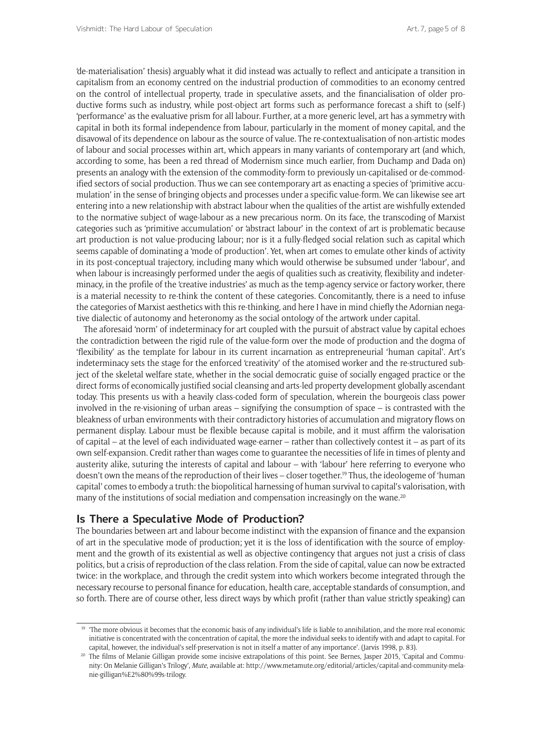'de-materialisation' thesis) arguably what it did instead was actually to reflect and anticipate a transition in capitalism from an economy centred on the industrial production of commodities to an economy centred on the control of intellectual property, trade in speculative assets, and the financialisation of older productive forms such as industry, while post-object art forms such as performance forecast a shift to (self-) 'performance' as the evaluative prism for all labour. Further, at a more generic level, art has a symmetry with capital in both its formal independence from labour, particularly in the moment of money capital, and the disavowal of its dependence on labour as the source of value. The re-contextualisation of non-artistic modes of labour and social processes within art, which appears in many variants of contemporary art (and which, according to some, has been a red thread of Modernism since much earlier, from Duchamp and Dada on) presents an analogy with the extension of the commodity-form to previously un-capitalised or de-commodified sectors of social production. Thus we can see contemporary art as enacting a species of 'primitive accumulation' in the sense of bringing objects and processes under a specific value-form. We can likewise see art entering into a new relationship with abstract labour when the qualities of the artist are wishfully extended to the normative subject of wage-labour as a new precarious norm. On its face, the transcoding of Marxist categories such as 'primitive accumulation' or 'abstract labour' in the context of art is problematic because art production is not value-producing labour; nor is it a fully-fledged social relation such as capital which seems capable of dominating a 'mode of production'. Yet, when art comes to emulate other kinds of activity in its post-conceptual trajectory, including many which would otherwise be subsumed under 'labour', and when labour is increasingly performed under the aegis of qualities such as creativity, flexibility and indeterminacy, in the profile of the 'creative industries' as much as the temp-agency service or factory worker, there is a material necessity to re-think the content of these categories. Concomitantly, there is a need to infuse the categories of Marxist aesthetics with this re-thinking, and here I have in mind chiefly the Adornian negative dialectic of autonomy and heteronomy as the social ontology of the artwork under capital.

The aforesaid 'norm' of indeterminacy for art coupled with the pursuit of abstract value by capital echoes the contradiction between the rigid rule of the value-form over the mode of production and the dogma of 'flexibility' as the template for labour in its current incarnation as entrepreneurial 'human capital'. Art's indeterminacy sets the stage for the enforced 'creativity' of the atomised worker and the re-structured subject of the skeletal welfare state, whether in the social democratic guise of socially engaged practice or the direct forms of economically justified social cleansing and arts-led property development globally ascendant today. This presents us with a heavily class-coded form of speculation, wherein the bourgeois class power involved in the re-visioning of urban areas – signifying the consumption of space – is contrasted with the bleakness of urban environments with their contradictory histories of accumulation and migratory flows on permanent display. Labour must be flexible because capital is mobile, and it must affirm the valorisation of capital – at the level of each individuated wage-earner – rather than collectively contest it – as part of its own self-expansion. Credit rather than wages come to guarantee the necessities of life in times of plenty and austerity alike, suturing the interests of capital and labour – with 'labour' here referring to everyone who doesn't own the means of the reproduction of their lives – closer together.<sup>19</sup> Thus, the ideologeme of 'human capital' comes to embody a truth: the biopolitical harnessing of human survival to capital's valorisation, with many of the institutions of social mediation and compensation increasingly on the wane.<sup>20</sup>

#### **Is There a Speculative Mode of Production?**

The boundaries between art and labour become indistinct with the expansion of finance and the expansion of art in the speculative mode of production; yet it is the loss of identification with the source of employment and the growth of its existential as well as objective contingency that argues not just a crisis of class politics, but a crisis of reproduction of the class relation. From the side of capital, value can now be extracted twice: in the workplace, and through the credit system into which workers become integrated through the necessary recourse to personal finance for education, health care, acceptable standards of consumption, and so forth. There are of course other, less direct ways by which profit (rather than value strictly speaking) can

<sup>&</sup>lt;sup>19</sup> The more obvious it becomes that the economic basis of any individual's life is liable to annihilation, and the more real economic initiative is concentrated with the concentration of capital, the more the individual seeks to identify with and adapt to capital. For capital, however, the individual's self-preservation is not in itself a matter of any importance'. (Jarvis 1998, p. 83).

<sup>&</sup>lt;sup>20</sup> The films of Melanie Gilligan provide some incisive extrapolations of this point. See Bernes, Jasper 2015, 'Capital and Community: On Melanie Gilligan's Trilogy', *Mute*, available at: [http://www.metamute.org/editorial/articles/capital-and-community-mela](http://www.metamute.org/editorial/articles/capitalandcommunitymelaniegilligan%E2%80%99strilogy)[nie-gilligan%E2%80%99s-trilogy](http://www.metamute.org/editorial/articles/capitalandcommunitymelaniegilligan%E2%80%99strilogy).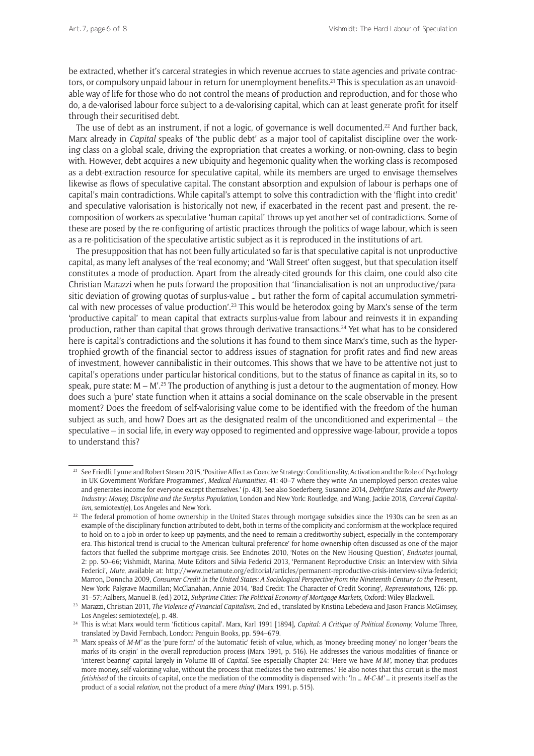be extracted, whether it's carceral strategies in which revenue accrues to state agencies and private contractors, or compulsory unpaid labour in return for unemployment benefits.<sup>21</sup> This is speculation as an unavoidable way of life for those who do not control the means of production and reproduction, and for those who do, a de-valorised labour force subject to a de-valorising capital, which can at least generate profit for itself through their securitised debt.

The use of debt as an instrument, if not a logic, of governance is well documented.<sup>22</sup> And further back, Marx already in *Capital* speaks of 'the public debt' as a major tool of capitalist discipline over the working class on a global scale, driving the expropriation that creates a working, or non-owning, class to begin with. However, debt acquires a new ubiquity and hegemonic quality when the working class is recomposed as a debt-extraction resource for speculative capital, while its members are urged to envisage themselves likewise as flows of speculative capital. The constant absorption and expulsion of labour is perhaps one of capital's main contradictions. While capital's attempt to solve this contradiction with the 'flight into credit' and speculative valorisation is historically not new, if exacerbated in the recent past and present, the recomposition of workers as speculative 'human capital' throws up yet another set of contradictions. Some of these are posed by the re-configuring of artistic practices through the politics of wage labour, which is seen as a re-politicisation of the speculative artistic subject as it is reproduced in the institutions of art.

The presupposition that has not been fully articulated so far is that speculative capital is not unproductive capital, as many left analyses of the 'real economy; and 'Wall Street' often suggest, but that speculation itself constitutes a mode of production. Apart from the already-cited grounds for this claim, one could also cite Christian Marazzi when he puts forward the proposition that 'financialisation is not an unproductive/parasitic deviation of growing quotas of surplus-value … but rather the form of capital accumulation symmetrical with new processes of value production'.<sup>23</sup> This would be heterodox going by Marx's sense of the term 'productive capital' to mean capital that extracts surplus-value from labour and reinvests it in expanding production, rather than capital that grows through derivative transactions.24 Yet what has to be considered here is capital's contradictions and the solutions it has found to them since Marx's time, such as the hypertrophied growth of the financial sector to address issues of stagnation for profit rates and find new areas of investment, however cannibalistic in their outcomes. This shows that we have to be attentive not just to capital's operations under particular historical conditions, but to the status of finance as capital in its, so to speak, pure state:  $M - M'.^{25}$  The production of anything is just a detour to the augmentation of money. How does such a 'pure' state function when it attains a social dominance on the scale observable in the present moment? Does the freedom of self-valorising value come to be identified with the freedom of the human subject as such, and how? Does art as the designated realm of the unconditioned and experimental – the speculative – in social life, in every way opposed to regimented and oppressive wage-labour, provide a topos to understand this?

<sup>&</sup>lt;sup>21</sup> See Friedli, Lynne and Robert Stearn 2015, 'Positive Affect as Coercive Strategy: Conditionality, Activation and the Role of Psychology in UK Government Workfare Programmes', *Medical Humanities*, 41: 40–7 where they write 'An unemployed person creates value and generates income for everyone except themselves.' (p. 43). See also Soederberg, Susanne 2014, *Debtfare States and the Poverty Industry: Money, Discipline and the Surplus Population*, London and New York: Routledge, and Wang, Jackie 2018, *Carceral Capitalism*, semiotext(e), Los Angeles and New York.

<sup>&</sup>lt;sup>22</sup> The federal promotion of home ownership in the United States through mortgage subsidies since the 1930s can be seen as an example of the disciplinary function attributed to debt, both in terms of the complicity and conformism at the workplace required to hold on to a job in order to keep up payments, and the need to remain a creditworthy subject, especially in the contemporary era. This historical trend is crucial to the American 'cultural preference' for home ownership often discussed as one of the major factors that fuelled the subprime mortgage crisis. See Endnotes 2010, 'Notes on the New Housing Question', *Endnotes* journal, 2: pp. 50–66; Vishmidt, Marina, Mute Editors and Silvia Federici 2013, 'Permanent Reproductive Crisis: an Interview with Silvia Federici', *Mute*, available at: [http://www.metamute.org/editorial/articles/permanent-reproductive-crisis-interview-silvia-federici](http://www.metamute.org/editorial/articles/permanentreproductivecrisisinterviewsilviafederici); Marron, Donncha 2009, *Consumer Credit in the United States: A Sociological Perspective from the Nineteenth Century to the* Present, New York: Palgrave Macmillan; McClanahan, Annie 2014, 'Bad Credit: The Character of Credit Scoring', *Representations*, 126: pp. 31–57; Aalbers, Manuel B. (ed.) 2012, *Subprime Cities: The Political Economy of Mortgage Markets*, Oxford: Wiley-Blackwell.

<sup>23</sup> Marazzi, Christian 2011, *The Violence of Financial Capitalism*, 2nd ed., translated by Kristina Lebedeva and Jason Francis McGimsey, Los Angeles: semiotexte(e), p. 48.

<sup>24</sup> This is what Marx would term 'fictitious capital'. Marx, Karl 1991 [1894], *Capital: A Critique of Political Economy*, Volume Three, translated by David Fernbach, London: Penguin Books, pp. 594–679.

<sup>&</sup>lt;sup>25</sup> Marx speaks of *M-M'* as the 'pure form' of the 'automatic' fetish of value, which, as 'money breeding money' no longer 'bears the marks of its origin' in the overall reproduction process (Marx 1991, p. 516). He addresses the various modalities of finance or 'interest-bearing' capital largely in Volume III of *Capital*. See especially Chapter 24: 'Here we have *M-M'*, money that produces more money, self-valorizing value, without the process that mediates the two extremes.' He also notes that this circuit is the most *fetishised* of the circuits of capital, once the mediation of the commodity is dispensed with: 'In … *M-C-M'* … it presents itself as the product of a social *relation*, not the product of a mere *thing*' (Marx 1991, p. 515).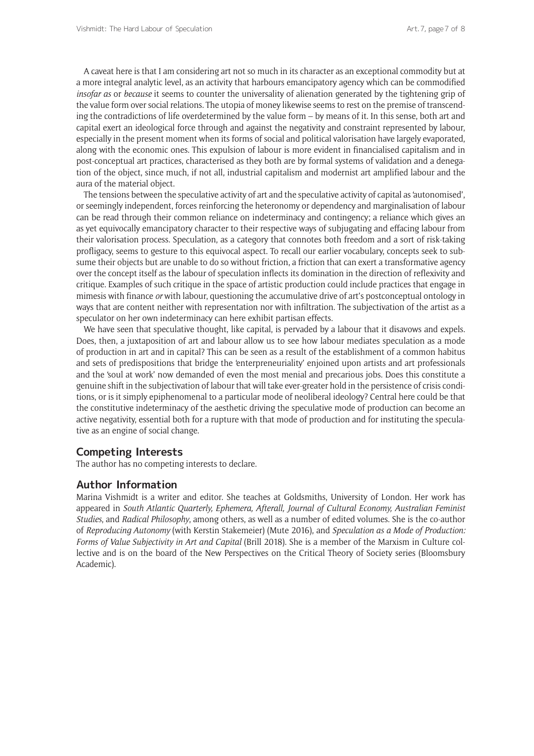A caveat here is that I am considering art not so much in its character as an exceptional commodity but at a more integral analytic level, as an activity that harbours emancipatory agency which can be commodified *insofar as* or *because* it seems to counter the universality of alienation generated by the tightening grip of the value form over social relations. The utopia of money likewise seems to rest on the premise of transcending the contradictions of life overdetermined by the value form – by means of it. In this sense, both art and capital exert an ideological force through and against the negativity and constraint represented by labour, especially in the present moment when its forms of social and political valorisation have largely evaporated, along with the economic ones. This expulsion of labour is more evident in financialised capitalism and in post-conceptual art practices, characterised as they both are by formal systems of validation and a denegation of the object, since much, if not all, industrial capitalism and modernist art amplified labour and the aura of the material object.

The tensions between the speculative activity of art and the speculative activity of capital as 'autonomised', or seemingly independent, forces reinforcing the heteronomy or dependency and marginalisation of labour can be read through their common reliance on indeterminacy and contingency; a reliance which gives an as yet equivocally emancipatory character to their respective ways of subjugating and effacing labour from their valorisation process. Speculation, as a category that connotes both freedom and a sort of risk-taking profligacy, seems to gesture to this equivocal aspect. To recall our earlier vocabulary, concepts seek to subsume their objects but are unable to do so without friction, a friction that can exert a transformative agency over the concept itself as the labour of speculation inflects its domination in the direction of reflexivity and critique. Examples of such critique in the space of artistic production could include practices that engage in mimesis with finance *or* with labour, questioning the accumulative drive of art's postconceptual ontology in ways that are content neither with representation nor with infiltration. The subjectivation of the artist as a speculator on her own indeterminacy can here exhibit partisan effects.

We have seen that speculative thought, like capital, is pervaded by a labour that it disavows and expels. Does, then, a juxtaposition of art and labour allow us to see how labour mediates speculation as a mode of production in art and in capital? This can be seen as a result of the establishment of a common habitus and sets of predispositions that bridge the 'enterpreneuriality' enjoined upon artists and art professionals and the 'soul at work' now demanded of even the most menial and precarious jobs. Does this constitute a genuine shift in the subjectivation of labour that will take ever-greater hold in the persistence of crisis conditions, or is it simply epiphenomenal to a particular mode of neoliberal ideology? Central here could be that the constitutive indeterminacy of the aesthetic driving the speculative mode of production can become an active negativity, essential both for a rupture with that mode of production and for instituting the speculative as an engine of social change.

#### **Competing Interests**

The author has no competing interests to declare.

#### **Author Information**

Marina Vishmidt is a writer and editor. She teaches at Goldsmiths, University of London. Her work has appeared in *South Atlantic Quarterly, Ephemera, Afterall, Journal of Cultural Economy, Australian Feminist Studies*, and *Radical Philosophy*, among others, as well as a number of edited volumes. She is the co-author of *Reproducing Autonomy* (with Kerstin Stakemeier) (Mute 2016), and *Speculation as a Mode of Production: Forms of Value Subjectivity in Art and Capital* (Brill 2018). She is a member of the Marxism in Culture collective and is on the board of the New Perspectives on the Critical Theory of Society series (Bloomsbury Academic).